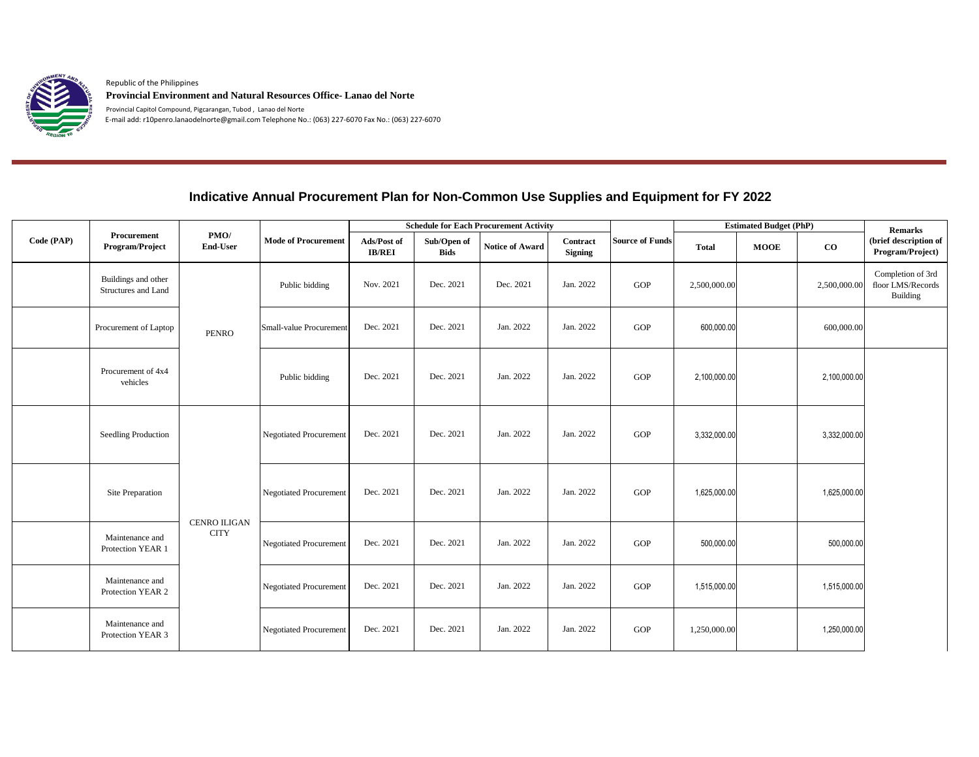

Republic of the Philippines **Provincial Environment and Natural Resources Office- Lanao del Norte**

Provincial Capitol Compound, Pigcarangan, Tubod , Lanao del Norte E-mail add: r10penro.lanaodelnorte@gmail.com Telephone No.: (063) 227-6070 Fax No.: (063) 227-6070

## **Indicative Annual Procurement Plan for Non-Common Use Supplies and Equipment for FY 2022**

| Code (PAP) | Procurement<br>Program/Project             | PMO/<br>End-User                   | <b>Mode of Procurement</b>    | <b>Schedule for Each Procurement Activity</b> |                            |                 |                            |                        | <b>Estimated Budget (PhP)</b> |             |              | <b>Remarks</b>                                     |
|------------|--------------------------------------------|------------------------------------|-------------------------------|-----------------------------------------------|----------------------------|-----------------|----------------------------|------------------------|-------------------------------|-------------|--------------|----------------------------------------------------|
|            |                                            |                                    |                               | Ads/Post of<br><b>IB/REI</b>                  | Sub/Open of<br><b>Bids</b> | Notice of Award | Contract<br><b>Signing</b> | <b>Source of Funds</b> | <b>Total</b>                  | <b>MOOE</b> | $\bf{CO}$    | (brief description of<br>Program/Project)          |
|            | Buildings and other<br>Structures and Land | <b>PENRO</b>                       | Public bidding                | Nov. 2021                                     | Dec. 2021                  | Dec. 2021       | Jan. 2022                  | GOP                    | 2,500,000.00                  |             | 2,500,000.00 | Completion of 3rd<br>floor LMS/Records<br>Building |
|            | Procurement of Laptop                      |                                    | Small-value Procurement       | Dec. 2021                                     | Dec. 2021                  | Jan. 2022       | Jan. 2022                  | GOP                    | 600,000.00                    |             | 600,000.00   |                                                    |
|            | Procurement of 4x4<br>vehicles             |                                    | Public bidding                | Dec. 2021                                     | Dec. 2021                  | Jan. 2022       | Jan. 2022                  | GOP                    | 2,100,000.00                  |             | 2,100,000.00 |                                                    |
|            | Seedling Production                        | <b>CENRO ILIGAN</b><br><b>CITY</b> | <b>Negotiated Procurement</b> | Dec. 2021                                     | Dec. 2021                  | Jan. 2022       | Jan. 2022                  | GOP                    | 3,332,000.00                  |             | 3,332,000.00 |                                                    |
|            | Site Preparation                           |                                    | <b>Negotiated Procurement</b> | Dec. 2021                                     | Dec. 2021                  | Jan. 2022       | Jan. 2022                  | GOP                    | 1,625,000.00                  |             | 1,625,000.00 |                                                    |
|            | Maintenance and<br>Protection YEAR 1       |                                    | <b>Negotiated Procurement</b> | Dec. 2021                                     | Dec. 2021                  | Jan. 2022       | Jan. 2022                  | GOP                    | 500,000.00                    |             | 500,000.00   |                                                    |
|            | Maintenance and<br>Protection YEAR 2       |                                    | <b>Negotiated Procurement</b> | Dec. 2021                                     | Dec. 2021                  | Jan. 2022       | Jan. 2022                  | GOP                    | 1,515,000.00                  |             | 1,515,000.00 |                                                    |
|            | Maintenance and<br>Protection YEAR 3       |                                    | <b>Negotiated Procurement</b> | Dec. 2021                                     | Dec. 2021                  | Jan. 2022       | Jan. 2022                  | GOP                    | 1,250,000.00                  |             | 1,250,000.00 |                                                    |